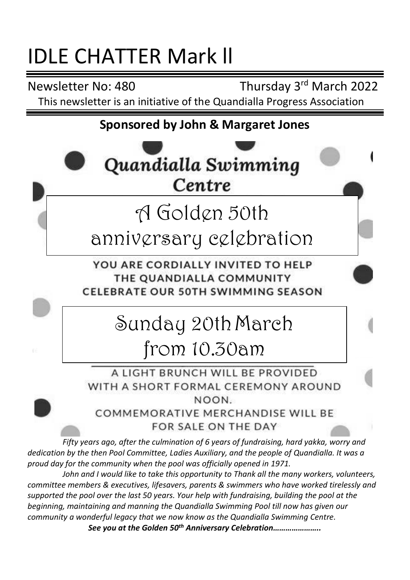# IDLE CHATTER Mark ll

Newsletter No: 480 Thursday 3rd March 2022 This newsletter is an initiative of the Quandialla Progress Association

# **Sponsored by John & Margaret Jones**



A LIGHT BRUNCH WILL BE PROVIDED WITH A SHORT FORMAL CEREMONY AROUND NOON.

COMMEMORATIVE MERCHANDISE WILL BE FOR SALE ON THE DAY

*Fifty years ago, after the culmination of 6 years of fundraising, hard yakka, worry and dedication by the then Pool Committee, Ladies Auxiliary, and the people of Quandialla. It was a proud day for the community when the pool was officially opened in 1971.*

*John and I would like to take this opportunity to Thank all the many workers, volunteers, committee members & executives, lifesavers, parents & swimmers who have worked tirelessly and supported the pool over the last 50 years. Your help with fundraising, building the pool at the beginning, maintaining and manning the Quandialla Swimming Pool till now has given our community a wonderful legacy that we now know as the Quandialla Swimming Centre. See you at the Golden 50th Anniversary Celebration…………………..*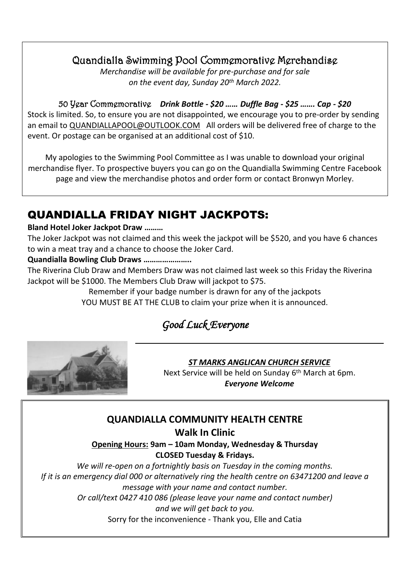## Quandialla Swimming Pool Commemorative Merchandise

*Merchandise will be available for pre-purchase and for sale on the event day, Sunday 20th March 2022.*

50 Year Commemorative *Drink Bottle - \$20 …… Duffle Bag - \$25 ……. Cap - \$20* Stock is limited. So, to ensure you are not disappointed, we encourage you to pre-order by sending an email t[o QUANDIALLAPOOL@OUTLOOK.COM](mailto:QUANDIALLAPOOL@OUTLOOK.COM) All orders will be delivered free of charge to the event. Or postage can be organised at an additional cost of \$10.

My apologies to the Swimming Pool Committee as I was unable to download your original merchandise flyer. To prospective buyers you can go on the Quandialla Swimming Centre Facebook page and view the merchandise photos and order form or contact Bronwyn Morley.

# QUANDIALLA FRIDAY NIGHT JACKPOTS:

#### **Bland Hotel Joker Jackpot Draw ………**

The Joker Jackpot was not claimed and this week the jackpot will be \$520, and you have 6 chances to win a meat tray and a chance to choose the Joker Card.

#### **Quandialla Bowling Club Draws …………………..**

The Riverina Club Draw and Members Draw was not claimed last week so this Friday the Riverina Jackpot will be \$1000. The Members Club Draw will jackpot to \$75.

Remember if your badge number is drawn for any of the jackpots

YOU MUST BE AT THE CLUB to claim your prize when it is announced.

# *Good Luck Everyone*



#### *ST MARKS ANGLICAN CHURCH SERVICE*

Next Service will be held on Sunday 6<sup>th</sup> March at 6pm. *Everyone Welcome*

## **QUANDIALLA COMMUNITY HEALTH CENTRE**

**Walk In Clinic**

**Opening Hours: 9am – 10am Monday, Wednesday & Thursday CLOSED Tuesday & Fridays.**

*We will re-open on a fortnightly basis on Tuesday in the coming months. If it is an emergency dial 000 or alternatively ring the health centre on 63471200 and leave a message with your name and contact number. Or call/text 0427 410 086 (please leave your name and contact number) and we will get back to you.* Sorry for the inconvenience - Thank you, Elle and Catia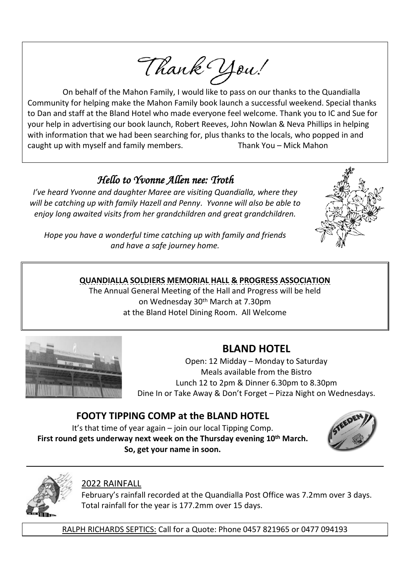Thank You!

On behalf of the Mahon Family, I would like to pass on our thanks to the Quandialla Community for helping make the Mahon Family book launch a successful weekend. Special thanks to Dan and staff at the Bland Hotel who made everyone feel welcome. Thank you to IC and Sue for your help in advertising our book launch, Robert Reeves, John Nowlan & Neva Phillips in helping with information that we had been searching for, plus thanks to the locals, who popped in and caught up with myself and family members. Thank You – Mick Mahon

## *Hello to Yvonne Allen nee: Troth*

*I've heard Yvonne and daughter Maree are visiting Quandialla, where they will be catching up with family Hazell and Penny. Yvonne will also be able to enjoy long awaited visits from her grandchildren and great grandchildren.*



*Hope you have a wonderful time catching up with family and friends and have a safe journey home.*

#### **QUANDIALLA SOLDIERS MEMORIAL HALL & PROGRESS ASSOCIATION**

The Annual General Meeting of the Hall and Progress will be held on Wednesday 30<sup>th</sup> March at 7.30pm at the Bland Hotel Dining Room. All Welcome



## **BLAND HOTEL**

Open: 12 Midday – Monday to Saturday Meals available from the Bistro Lunch 12 to 2pm & Dinner 6.30pm to 8.30pm Dine In or Take Away & Don't Forget – Pizza Night on Wednesdays.

## **FOOTY TIPPING COMP at the BLAND HOTEL**

It's that time of year again – join our local Tipping Comp. **First round gets underway next week on the Thursday evening 10 th March. So, get your name in soon.**





#### 2022 RAINFALL

February's rainfall recorded at the Quandialla Post Office was 7.2mm over 3 days. Total rainfall for the year is 177.2mm over 15 days.

RALPH RICHARDS SEPTICS: Call for a Quote: Phone 0457 821965 or 0477 094193